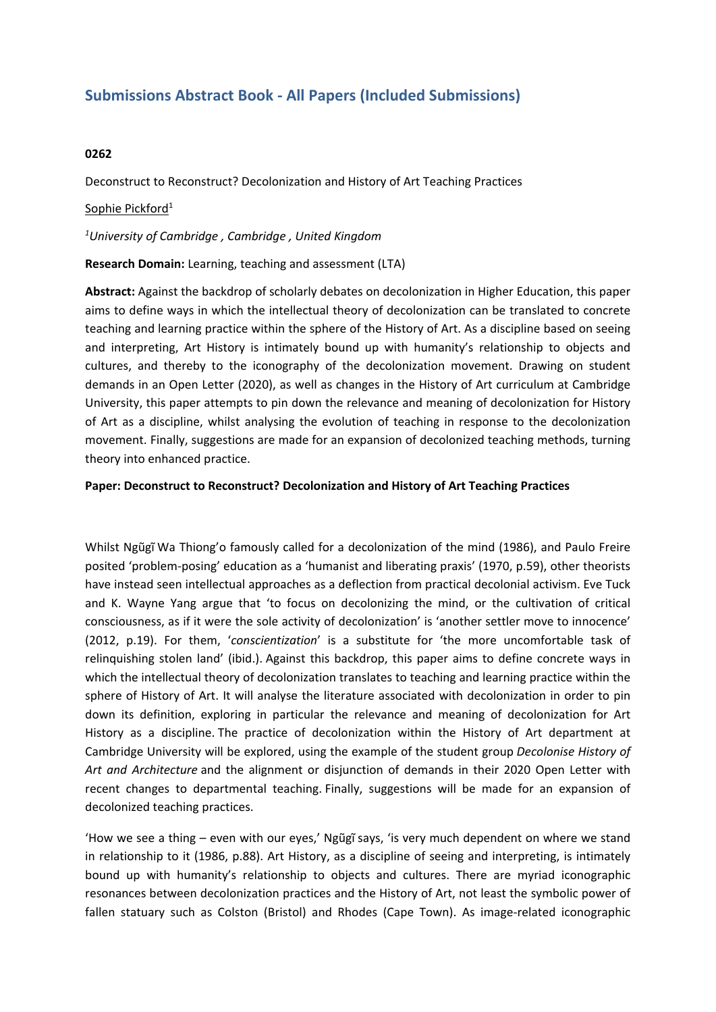# **Submissions Abstract Book - All Papers (Included Submissions)**

## **0262**

Deconstruct to Reconstruct? Decolonization and History of Art Teaching Practices

### Sophie Pickford<sup>1</sup>

#### *1 University of Cambridge , Cambridge , United Kingdom*

#### **Research Domain:** Learning, teaching and assessment (LTA)

**Abstract:** Against the backdrop of scholarly debates on decolonization in Higher Education, this paper aims to define ways in which the intellectual theory of decolonization can be translated to concrete teaching and learning practice within the sphere of the History of Art. As <sup>a</sup> discipline based on seeing and interpreting, Art History is intimately bound up with humanity's relationship to objects and cultures, and thereby to the iconography of the decolonization movement. Drawing on student demands in an Open Letter (2020), as well as changes in the History of Art curriculum at Cambridge University, this paper attempts to pin down the relevance and meaning of decolonization for History of Art as <sup>a</sup> discipline, whilst analysing the evolution of teaching in response to the decolonization movement. Finally, suggestions are made for an expansion of decolonized teaching methods, turning theory into enhanced practice.

#### **Paper: Deconstruct to Reconstruct? Decolonization and History of Art Teaching Practices**

Whilst Ngũgĩ Wa Thiong'o famously called for <sup>a</sup> decolonization of the mind (1986), and Paulo Freire posited 'problem-posing' education as <sup>a</sup> 'humanist and liberating praxis' (1970, p.59), other theorists have instead seen intellectual approaches as <sup>a</sup> deflection from practical decolonial activism. Eve Tuck and K. Wayne Yang argue that 'to focus on decolonizing the mind, or the cultivation of critical consciousness, as if it were the sole activity of decolonization' is 'another settler move to innocence' (2012, p.19). For them, '*conscientization*' is <sup>a</sup> substitute for 'the more uncomfortable task of relinquishing stolen land' (ibid.). Against this backdrop, this paper aims to define concrete ways in which the intellectual theory of decolonization translates to teaching and learning practice within the sphere of History of Art. It will analyse the literature associated with decolonization in order to pin down its definition, exploring in particular the relevance and meaning of decolonization for Art History as <sup>a</sup> discipline. The practice of decolonization within the History of Art department at Cambridge University will be explored, using the example of the student group *Decolonise History of Art and Architecture* and the alignment or disjunction of demands in their 2020 Open Letter with recent changes to departmental teaching. Finally, suggestions will be made for an expansion of decolonized teaching practices.

'How we see <sup>a</sup> thing – even with our eyes,' Ngũgĩ says, 'is very much dependent on where we stand in relationship to it (1986, p.88). Art History, as <sup>a</sup> discipline of seeing and interpreting, is intimately bound up with humanity's relationship to objects and cultures. There are myriad iconographic resonances between decolonization practices and the History of Art, not least the symbolic power of fallen statuary such as Colston (Bristol) and Rhodes (Cape Town). As image-related iconographic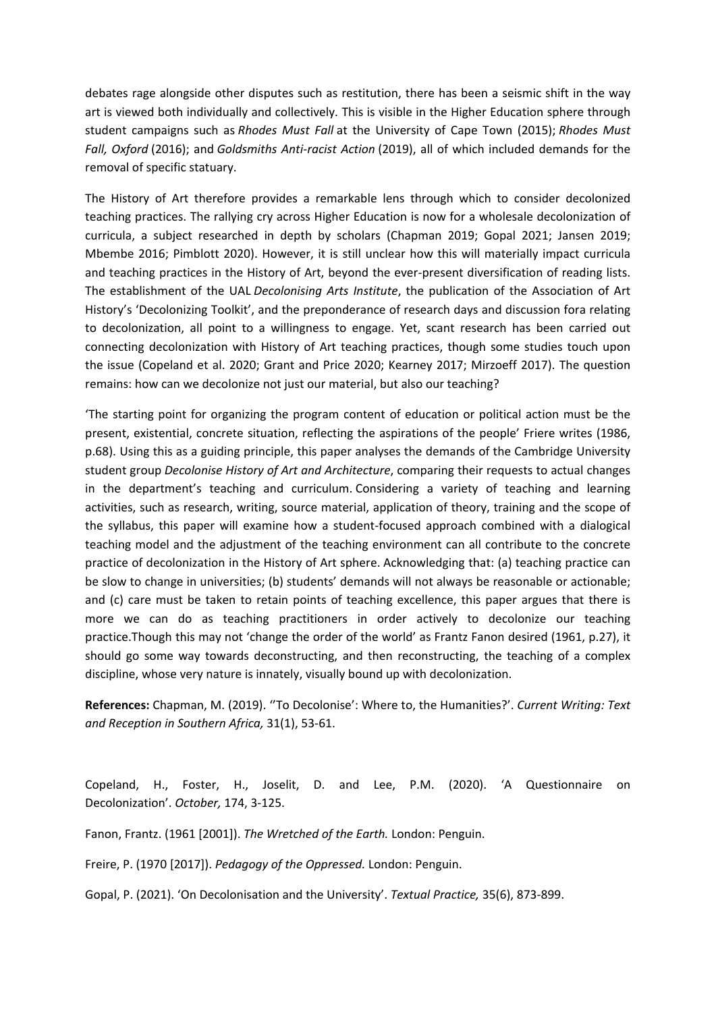debates rage alongside other disputes such as restitution, there has been <sup>a</sup> seismic shift in the way art is viewed both individually and collectively. This is visible in the Higher Education sphere through student campaigns such as *Rhodes Must Fall* at the University of Cape Town (2015); *Rhodes Must Fall, Oxford* (2016); and *Goldsmiths Anti-racist Action* (2019), all of which included demands for the removal of specific statuary.

The History of Art therefore provides <sup>a</sup> remarkable lens through which to consider decolonized teaching practices. The rallying cry across Higher Education is now for <sup>a</sup> wholesale decolonization of curricula, <sup>a</sup> subject researched in depth by scholars (Chapman 2019; Gopal 2021; Jansen 2019; Mbembe 2016; Pimblott 2020). However, it is still unclear how this will materially impact curricula and teaching practices in the History of Art, beyond the ever-present diversification of reading lists. The establishment of the UAL *Decolonising Arts Institute*, the publication of the Association of Art History's 'Decolonizing Toolkit', and the preponderance of research days and discussion fora relating to decolonization, all point to <sup>a</sup> willingness to engage. Yet, scant research has been carried out connecting decolonization with History of Art teaching practices, though some studies touch upon the issue (Copeland et al. 2020; Grant and Price 2020; Kearney 2017; Mirzoeff 2017). The question remains: how can we decolonize not just our material, but also our teaching?

'The starting point for organizing the program content of education or political action must be the present, existential, concrete situation, reflecting the aspirations of the people' Friere writes (1986, p.68). Using this as <sup>a</sup> guiding principle, this paper analyses the demands of the Cambridge University student group *Decolonise History of Art and Architecture*, comparing their requests to actual changes in the department's teaching and curriculum. Considering <sup>a</sup> variety of teaching and learning activities, such as research, writing, source material, application of theory, training and the scope of the syllabus, this paper will examine how <sup>a</sup> student-focused approach combined with <sup>a</sup> dialogical teaching model and the adjustment of the teaching environment can all contribute to the concrete practice of decolonization in the History of Art sphere. Acknowledging that: (a) teaching practice can be slow to change in universities; (b) students' demands will not always be reasonable or actionable; and (c) care must be taken to retain points of teaching excellence, this paper argues that there is more we can do as teaching practitioners in order actively to decolonize our teaching practice.Though this may not 'change the order of the world' as Frantz Fanon desired (1961, p.27), it should go some way towards deconstructing, and then reconstructing, the teaching of <sup>a</sup> complex discipline, whose very nature is innately, visually bound up with decolonization.

**References:** Chapman, M. (2019). ''To Decolonise': Where to, the Humanities?'. *Current Writing: Text and Reception in Southern Africa,* 31(1), 53-61.

Copeland, H., Foster, H., Joselit, D. and Lee, P.M. (2020). 'A Questionnaire on Decolonization'. *October,* 174, 3-125.

Fanon, Frantz. (1961 [2001]). *The Wretched of the Earth.* London: Penguin.

Freire, P. (1970 [2017]). *Pedagogy of the Oppressed.* London: Penguin.

Gopal, P. (2021). 'On Decolonisation and the University'. *Textual Practice,* 35(6), 873-899.